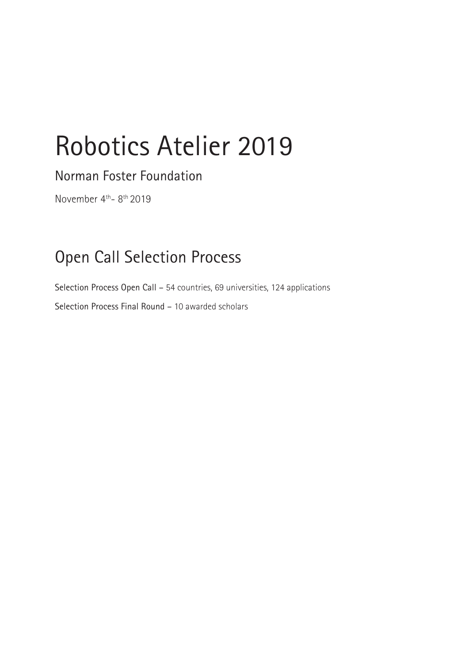# Robotics Atelier 2019

Norman Foster Foundation

November 4<sup>th</sup>-8<sup>th</sup> 2019

## Open Call Selection Process

Selection Process Open Call – 54 countries, 69 universities, 124 applications Selection Process Final Round – 10 awarded scholars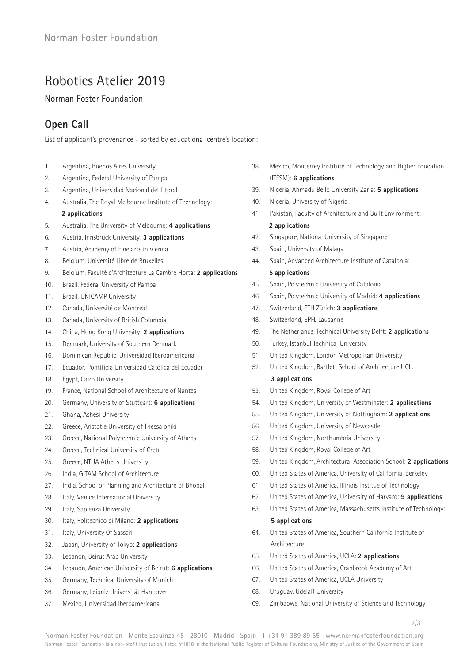### Robotics Atelier 2019

Norman Foster Foundation

#### **Open Call**

List of applicant's provenance - sorted by educational centre's location:

- 1. Argentina, Buenos Aires University
- 2. Argentina, Federal University of Pampa
- 3. Argentina, Universidad Nacional del Litoral
- 4. Australia, The Royal Melbourne Institute of Technology: **2 applications**
- 5. Australia, The University of Melbourne: **4 applications**
- 6. Austria, Innsbruck University: **3 applications**
- 7. Austria, Academy of Fine arts in Vienna
- 8. Belgium, Université Libre de Bruxelles
- 9. Belgium, Faculté d'Architecture La Cambre Horta: **2 applications**
- 10. Brazil, Federal University of Pampa
- 11. Brazil, UNICAMP University
- 12. Canada, Université de Montréal
- 13. Canada, University of British Columbia
- 14. China, Hong Kong University: **2 applications**
- 15. Denmark, University of Southern Denmark
- 16. Dominican Republic, Universidad Iberoamericana
- 17. Ecuador, Pontificia Universidad Católica del Ecuador
- 18. Egypt, Cairo University
- 19. France, National School of Architecture of Nantes
- 20. Germany, University of Stuttgart: **6 applications**
- 21. Ghana, Ashesi University
- 22. Greece, Aristotle University of Thessaloniki
- 23. Greece, National Polytechnic University of Athens
- 24. Greece, Technical University of Crete
- 25. Greece, NTUA Athens University
- 26. India, GITAM School of Architecture
- 27. India, School of Planning and Architecture of Bhopal
- 28. Italy, Venice International University
- 29. Italy, Sapienza University
- 30. Italy, Politecnico di Milano: **2 applications**
- 31. Italy, University Of Sassari
- 32. Japan, University of Tokyo: **2 applications**
- 33. Lebanon, Beirut Arab University
- 34. Lebanon, American University of Beirut: **6 applications**
- 35. Germany, Technical University of Munich
- 36. Germany, Leibniz Universität Hannover
- 37. Mexico, Universidad Iberoamericana
- 38. Mexico, Monterrey Institute of Technology and Higher Education (ITESM): **6 applications**
- 39. Nigeria, Ahmadu Bello University Zaria: **5 applications**
- 40. Nigeria, University of Nigeria
- 41. Pakistan, Faculty of Architecture and Built Environment: **2 applications**
- 42. Singapore, National University of Singapore
- 43. Spain, University of Malaga
- 44. Spain, Advanced Architecture Institute of Catalonia: **5 applications**
- 45. Spain, Polytechnic University of Catalonia
- 46. Spain, Polytechnic University of Madrid: **4 applications**
- 47. Switzerland, ETH Zürich: **3 applications**
- 48. Switzerland, EPFL Lausanne
- 49. The Netherlands, Technical University Delft: **2 applications**
- 50. Turkey, Istanbul Technical University
- 51. United Kingdom, London Metropolitan University
- 52. United Kingdom, Bartlett School of Architecture UCL: **3 applications**
- 53. United Kingdom, Royal College of Art
- 54. United Kingdom, University of Westminster: **2 applications**
- 55. United Kingdom, University of Nottingham: **2 applications**
- 56. United Kingdom, University of Newcastle
- 57. United Kingdom, Northumbria University
- 58. United Kingdom, Royal College of Art
- 59. United Kingdom, Architectural Association School: **2 applications**
- 60. United States of America, University of California, Berkeley
- 61. United States of America, Illinois Institue of Technology
- 62. United States of America, University of Harvard: **9 applications**
- 63. United States of America, Massachusetts Institute of Technology: **5 applications**
- 64. United States of America, Southern California Institute of Architecture
- 65. United States of America, UCLA: **2 applications**
- 66. United States of America, Cranbrook Academy of Art
- 67. United States of America, UCLA University
- 68. Uruguay, UdelaR University
- 69. Zimbabwe, National University of Science and Technology